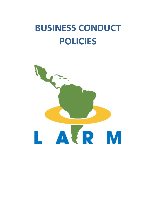# **BUSINESS CONDUCT POLICIES**

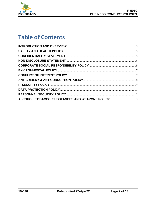

# **Table of Contents**

| ALCOHOL, TOBACCO, SUBSTANCES AND WEAPONS POLICY 13 |  |
|----------------------------------------------------|--|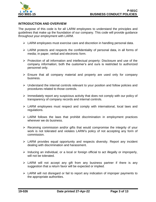

#### <span id="page-2-0"></span>**INTRODUCTION AND OVERVIEW**

The purpose of this code is for all LARM employees to understand the principles and guidelines that make up the foundation of our company. This code will provide guidance throughout your employment with LARM.

- ➢ LARM employees must exercise care and discretion in handling personal data.
- ➢ LARM protects and respects the confidentiality of personal data, in all forms of media; in paper, verbal and electronic form.
- ➢ Protection of all information and intellectual property: Disclosure and use of the company information; both the customer's and ours is restricted to authorized personnel only.
- ➢ Ensure that all company material and property are used only for company business.
- ➢ Understand the internal controls relevant to your position and follow policies and procedures related to those controls.
- ➢ Immediately report any suspicious activity that does not comply with our policy of transparency of company records and internal controls.
- ➢ LARM employees must respect and comply with international, local laws and regulations.
- $\triangleright$  LARM follows the laws that prohibit discrimination in employment practices wherever we do business.
- ➢ Receiving commission and/or gifts that would compromise the integrity of your work is not tolerated and violates LARM's policy of not accepting any form of commission.
- ➢ LARM provides equal opportunity and respects diversity. Report any incident dealing with discrimination and harassment.
- ➢ Inducing an individual, or a local or foreign official to act illegally or improperly, will not be tolerated.
- ➢ LARM will not accept any gift from any business partner if there is any suggestion that a return favor will be expected or implied.
- ➢ LARM will not disregard or fail to report any indication of improper payments to the appropriate authorities.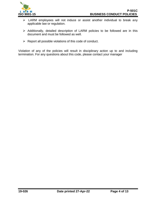

- ➢ LARM employees will not induce or assist another individual to break any applicable law or regulation.
- ➢ Additionally, detailed description of LARM policies to be followed are in this document and must be followed as well.
- $\triangleright$  Report all possible violations of this code of conduct.

Violation of any of the policies will result in disciplinary action up to and including termination. For any questions about this code, please contact your manager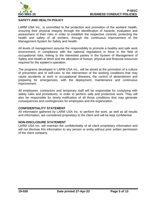

#### <span id="page-4-0"></span>**SAFETY AND HEALTH POLICY**

LARM USA Inc., is committed to the protection and promotion of the workers' health, ensuring their physical integrity through the identification of hazards, evaluation and assessment of their risks in order to establish the respective controls; protecting the health and safety of all workers, through the continuous improvement of the Management System for Safety and Health.

All levels of management assume the responsibility to promote a healthy and safe work environment, in compliance with the national regulations in force in the field of occupational risks, linking to the interested parties in the System of Management of Safety and Health at Work and the allocation of human, physical and financial resources required for the system's operation.

The programs developed in LARM USA Inc., will be aimed at the promotion of a culture of prevention and of self-care, to the intervention of the working conditions that may cause accidents at work or occupational diseases, the control of absenteeism and preparing for emergencies, with the deployment, maintenance and continuous improvement.

All employees, contractors and temporary staff will be responsible for complying with safety rules and procedures, in order to perform safe and productive work. They will also be responsible for timely notification of all those conditions that may generate consequences and contingencies for employees and the organization.

#### <span id="page-4-1"></span>**CONFIDENTIALITY STATEMENT**

All information gathered by LARM USA Inc. to perform the work, as well as all results and information, are considered proprietary to the client and will be kept confidential.

#### <span id="page-4-2"></span>**NON-DISCLOSURE STATEMENT**

LARM USA Inc. will maintain the confidentiality of all client proprietary information and will not disclose this information to any person or entity without prior written permission of the client company.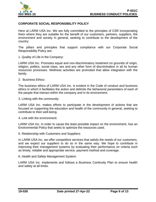

#### <span id="page-5-0"></span>**CORPORATE SOCIAL RESPONSIBILITY POLICY**

Here at LARM USA Inc. We are fully committed to the principles of CSR incorporating them where they are suitable for the benefit of our customers, partners, suppliers, the environment and society in general, seeking to contribute to the development of the country.

The pillars and principles that support compliance with our Corporate Social Responsibility Policy are:

1. Quality of Life in the Company:

LARM USA Inc. Promotes equal and non-discriminatory treatment on grounds of origin, religion, politics, social class, sex and any other form of discrimination in all its human resources processes. Wellness activities are promoted that allow integration with the family.

2. Business Ethics:

The business ethics of LARM USA Inc. is evident in the Code of conduct and business ethics in which it facilitates the action and delimits the behavioral parameters of each of the people that interact within the company and in its environment.

3. Linking with the community:

LARM USA Inc. makes efforts to participate in the development of actions that are focused on supporting the education and health of the community in general, seeking to contribute to their well-being.

4. Link with the environment:

LARM USA Inc. in order to cause the least possible impact on the environment, has an Environmental Policy that seeks to optimize the resources used.

5. Relationship with Customers and Suppliers:

In LARM USA Inc. we offer competitive services that satisfy the needs of our customers, and we expect our suppliers to do so in the same way. We hope to contribute in improving their management systems by evaluating their performance on criteria such as timely, reliable and appropriate service, payment method and coverage.

6. Health and Safety Management System:

LARM USA Inc. implements and follows a Business Continuity Plan to ensure health and safety at all times.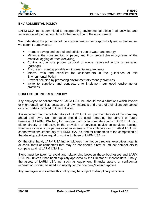

#### <span id="page-6-0"></span>**ENVIRONMENTAL POLICY**

LARM USA Inc. is committed to incorporating environmental ethics in all activities and services developed to contribute to the protection of the environment.

We understand the protection of the environment as our responsibility and in that sense, we commit ourselves to:

- Promote saving and careful and efficient use of water and energy
- Minimize the consumption of paper, and thus protect the ecosystems of the massive logging of trees (recycling)
- Control and ensure proper disposal of waste generated in our organization (garbage)
- Ensure and meet applicable environmental requirements
- Inform, train and sensitize the collaborators in the guidelines of this Environmental Policy
- Prevent pollution by promoting environmentally friendly practices
- Invite to suppliers and contractors to implement our good environmental practices

#### <span id="page-6-1"></span>**CONFLICT OF INTEREST POLICY**

Any employee or collaborator of LARM USA Inc. should avoid situations which involve or might entail, conflicts between their own interests and those of their client companies or other parties involved in their activities.

It is expected that the collaborators of LARM USA Inc. put the interests of the company ahead their own. No information should be used regarding the current or future business of LARM USA Inc., for personal gain or to compete against LARM USA Inc., either directly or indirectly, in the provision of services, advice on services, leasing, Purchase or sale of properties or other interests. The collaborators of LARM USA Inc. cannot work simultaneously for LARM USA Inc. and for companies of the competition or that develop activities equal or similar to those of LARM USA Inc.

On the other hand, LARM USA Inc. employees may not be directors, executives, agents or consultants of companies that may be considered direct or indirect competitors to compete against LARM USA Inc.

Steps must be taken to avoid any relationship between these businesses and LARM USA Inc., unless it has been explicitly approved by the Director or shareholders. Finally, the assets of LARM USA Inc. such as equipment, financial assets or confidential information, should be used exclusively for the company's own purposes.

Any employee who violates this policy may be subject to disciplinary sanctions.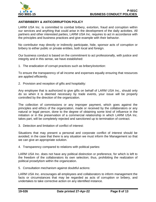

#### <span id="page-7-0"></span>**ANTIBRIBERY & ANTICORRUPTION POLICY**

LARM USA Inc. is committed to combat bribery, extortion, fraud and corruption within our services and anything that could arise in the development of the daily activities. All partners and other interested parties, LARM USA Inc. requires to act in accordance with the principles and business practices and give example with their behavior.

No contributor may directly or indirectly participate, hide, sponsor acts of corruption or bribery to either public or private entities, both local and foreign.

Our business conduct is based on the commitment to act professionally, with justice and integrity and in this sense, we have established:

1. The eradication of corrupt practices such as bribery/extortion:

To ensure the transparency of all income and expenses equally ensuring that resources are applied efficiently.

2. Provision and reception of gifts and hospitality:

Any employee that is authorized to give gifts on behalf of LARM USA Inc., should only do so when it is deemed necessary by trade events, your issue will be properly controlled by the direction of the organization.

The collection of commissions or any improper payment, which goes against the principles and ethics of the organization, made or received by the collaborators or any natural or legal person, done to the degree of obtaining some kind of influence in the initiation or in the preservation of a commercial relationship in which LARM USA Inc. takes part, will be completely rejected and sanctioned up to termination of contract.

3. Detection and limitation of conflict of interest:

Situations that may present a personal and corporate conflict of interest should be avoided; in the case that there is any situation we must inform the Management so that we can give an appropriate solution.

4. Transparency compared to relations with political parties:

LARM USA Inc. does not have any political distinction or preference, for which is left to the freedom of the collaborators its own selection; thus, prohibiting the realization of political proselytism within the organization.

5. Consultation mechanism against doubtful actions:

LARM USA Inc. encourages all employees and collaborators to inform management the facts or circumstances that may be regarded as acts of corruption or bribery, and undertakes to take corrective action on any identified instance.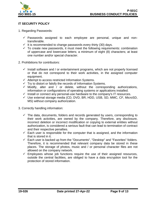

## <span id="page-8-0"></span>**IT SECURITY POLICY**

- 1. Regarding Passwords:
	- $\checkmark$  Passwords assigned to each employee are personal, unique and nontransferable.
	- $\checkmark$  It is recommended to change passwords every thirty (30) days.
	- $\checkmark$  To create new passwords, it must meet the following requirements: combination of uppercase and lowercase letters; a minimum of eight (8) characters; at least one number and/or special character.
- 2. Prohibitions for contributors:
	- $\checkmark$  Install software and / or entertainment programs, which are not properly licensed or that do not correspond to their work activities, in the assigned computer equipment.
	- ✓ Attempt to access restricted Information Systems.
	- ✓ Try to distort or falsify the records of Information Systems.
	- $\checkmark$  Modify, alter and / or delete, without the corresponding authorizations, information or configurations of operating systems or applications installed.
	- $\checkmark$  Install or connect any personal-use hardware to the company's IT resources.
	- ✓ Use external storage media (CD, DVD, BR, HDD, USB, SD, MMC, CF, MicroSD, MS) without company authorization.
- 3. Correctly handling information:
	- $\checkmark$  The data, documents, folders and records generated by users, corresponding to their work activities, are owned by the company. Therefore, any disclosure, incorrect deletion or incorrect modification or copying to external entities without authorization, is considered a serious fault that can lead to termination of contract and their respective penalties.
	- $\checkmark$  Each user is responsible for the computer that is assigned, and the information that is stored in it.
	- $\checkmark$  Each user is backed up from the "Documents", "Desktop" and "Favorites" folders. Therefore, it is recommended that relevant company data be stored in these places. The storage of photos, music and / or personal character files are not allowed on the company network.
	- $\checkmark$  Employees whose job functions require the use of their assigned resources, outside the central facilities, are obliged to have a data encryption tool for the protection of stored information.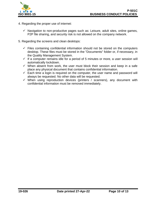

- 4. Regarding the proper use of internet:
	- $\checkmark$  Navigation to non-productive pages such as: Leisure, adult sites, online games, P2P file sharing, and security risk is not allowed on the company network.
- 5. Regarding the screens and clean desktops:
	- $\checkmark$  Files containing confidential information should not be stored on the computers desktop. These files must be stored in the "Documents" folder or, if necessary, in the Quality Management System.
	- $\checkmark$  If a computer remains idle for a period of 5 minutes or more, a user session will automatically lockdown.
	- $\checkmark$  When absent from work, the user must block their session and keep in a safe place any physical document that contains confidential information.
	- $\checkmark$  Each time a login is required on the computer, the user name and password will always be requested. No other data will be requested.
	- $\checkmark$  When using reproduction devices (printers / scanners), any document with confidential information must be removed immediately.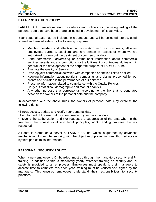

## <span id="page-10-0"></span>**DATA PROTECTION POLICY**

LARM USA Inc. maintains strict procedures and policies for the safeguarding of the personal data that have been or are collected in development of its activities.

Your personal data may be included in a database and will be collected, stored, used, shared and treated safely for the following purposes:

- Maintain constant and effective communication with our customers, affiliates, employees, partners, suppliers, and any person in respect of whom we are authorized to carry out the treatment of your personal data
- Send commercial, advertising or promotional information about commercial services, events and / or promotions for the fulfillment of contractual duties and in general for the development of the corporate purpose of LARM USA Inc.
- Evaluate the quality of Service
- Develop joint commercial activities with companies or entities linked or allied
- Keeping information about petitions, complaints and claims presented by our clients and affiliates in the performance of our services
- Preserve information related to compliance with the Quality Policies
- Carry out statistical, demographic and market analysis
- Any other purpose that corresponds according to the link that is generated between the owners of the personal data and the company

In accordance with the above rules, the owners of personal data may exercise the following rights:

- Know, access, update and rectify your personal data
- Be informed of the use that has been made of your personal data

• Revoke the authorization and / or request the suppression of the data when in the treatment the constitutional and legal principles, rights and guarantees are not respected

All data is stored on a server of LARM USA Inc. which is guarded by advanced mechanisms of computer security, with the objective of preventing unauthorized access by third parties to its information.

#### <span id="page-10-1"></span>**PERSONNEL SECURITY POLICY**

When a new employee is On-boarded, must go through the mandatory security and PII training. In addition to this, a mandatory yearly refresher training on security and PII safety is provided to all employees. Employees must speak to their managers to allocate time to complete this each year, training must be verified and signed by the managers. This ensures employees understand their responsibilities to security practices.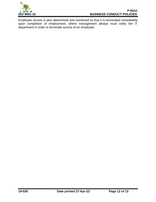

Employee access is also determined and monitored so that it is terminated immediately upon completion of employment, where management always must notify the IT department in order to terminate access of an employee.